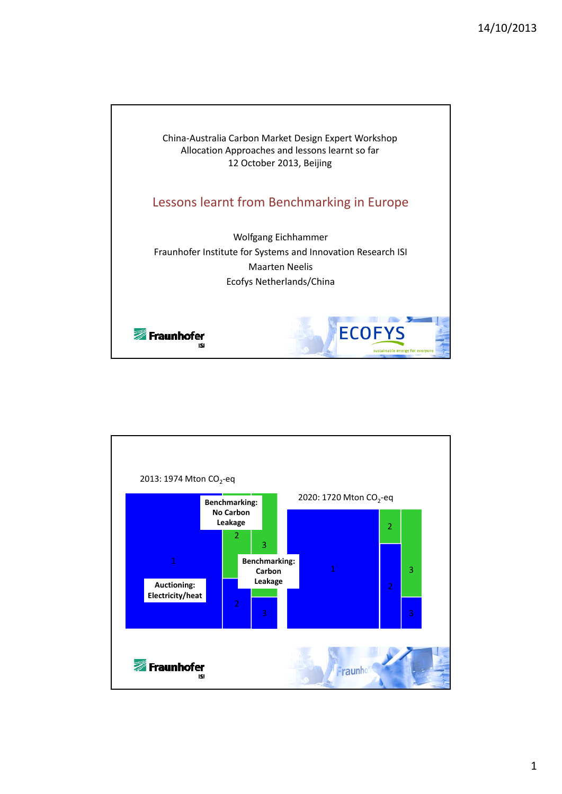

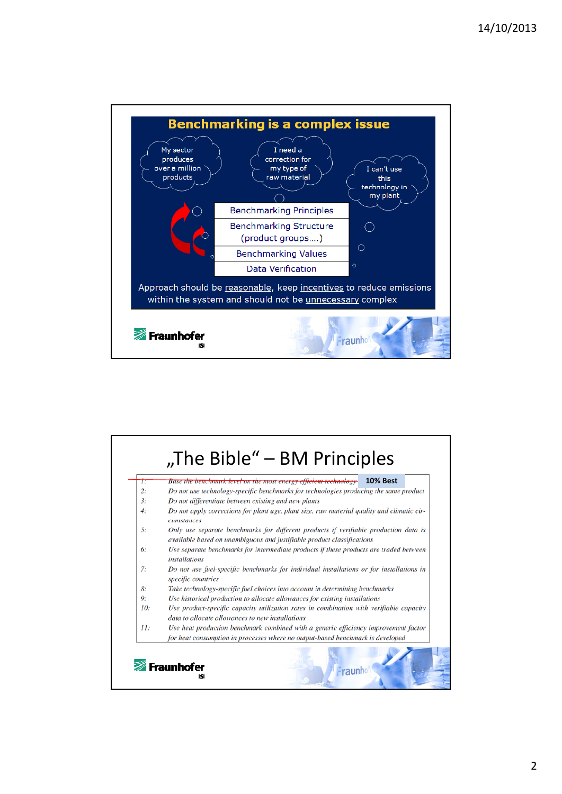

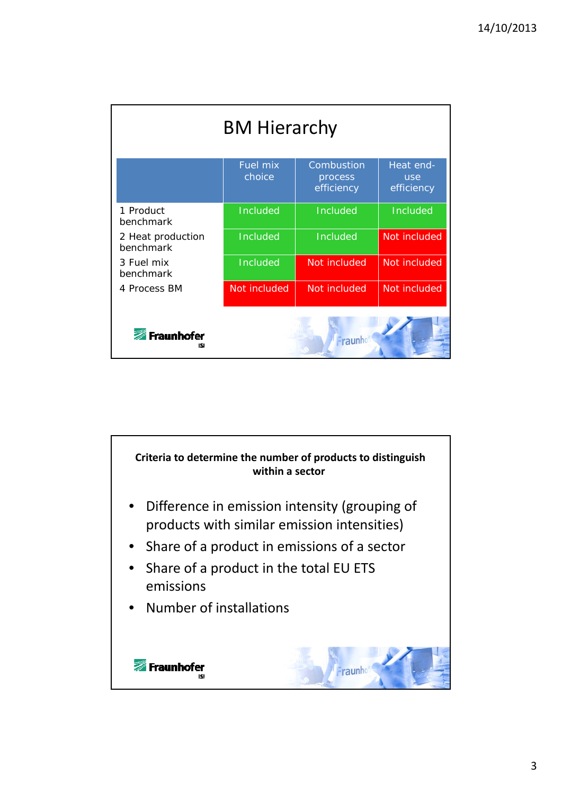|                                | <b>BM Hierarchy</b>       |                                     |                                |
|--------------------------------|---------------------------|-------------------------------------|--------------------------------|
|                                | <b>Fuel mix</b><br>choice | Combustion<br>process<br>efficiency | Heat end-<br>use<br>efficiency |
| 1 Product<br>benchmark         | Included                  | Included                            | Included                       |
| 2 Heat production<br>benchmark | Included                  | Included                            | Not included                   |
| 3 Fuel mix<br>benchmark        | Included                  | Not included                        | Not included                   |
| 4 Process BM                   | Not included              | Not included                        | Not included                   |
| Fraunhofer<br>ISI              |                           | <b>Traunh</b>                       |                                |

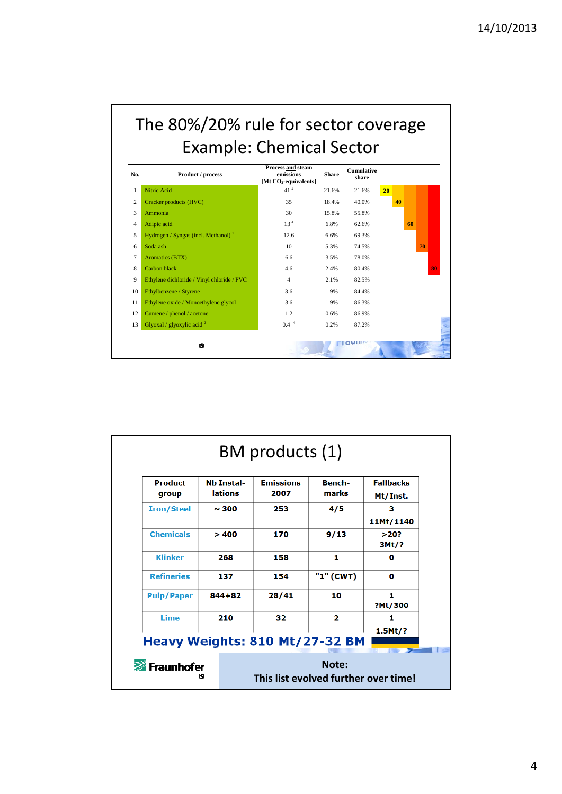## The 80%/20% rule for sector coverage Example: Chemical Sector

| No.            | Product / process                          | Process and steam<br>emissions<br>[Mt CO <sub>2</sub> -equivalents] | <b>Share</b> | <b>Cumulative</b><br>share |    |    |    |    |    |
|----------------|--------------------------------------------|---------------------------------------------------------------------|--------------|----------------------------|----|----|----|----|----|
| 1              | Nitric Acid                                | 41 <sup>4</sup>                                                     | 21.6%        | 21.6%                      | 20 |    |    |    |    |
| $\overline{c}$ | Cracker products (HVC)                     | 35                                                                  | 18.4%        | 40.0%                      |    | 40 |    |    |    |
| 3              | Ammonia                                    | 30                                                                  | 15.8%        | 55.8%                      |    |    |    |    |    |
| 4              | Adipic acid                                | 13 <sup>4</sup>                                                     | 6.8%         | 62.6%                      |    |    | 60 |    |    |
| 5              | Hydrogen / Syngas (incl. Methanol) $1$     | 12.6                                                                | 6.6%         | 69.3%                      |    |    |    |    |    |
| 6              | Soda ash                                   | 10                                                                  | 5.3%         | 74.5%                      |    |    |    | 70 |    |
| 7              | Aromatics (BTX)                            | 6.6                                                                 | 3.5%         | 78.0%                      |    |    |    |    |    |
| 8              | Carbon black                               | 4.6                                                                 | 2.4%         | 80.4%                      |    |    |    |    | 80 |
| 9              | Ethylene dichloride / Vinyl chloride / PVC | $\overline{4}$                                                      | 2.1%         | 82.5%                      |    |    |    |    |    |
| 10             | Ethylbenzene / Styrene                     | 3.6                                                                 | 1.9%         | 84.4%                      |    |    |    |    |    |
| 11             | Ethylene oxide / Monoethylene glycol       | 3.6                                                                 | 1.9%         | 86.3%                      |    |    |    |    |    |
| 12             | Cumene / phenol / acetone                  | 1.2                                                                 | 0.6%         | 86.9%                      |    |    |    |    |    |
| 13             | Glyoxal / glyoxylic acid $2$               | 0.4 <sup>4</sup>                                                    | 0.2%         | 87.2%                      |    |    |    |    |    |
|                | ISJ                                        |                                                                     |              |                            |    |    |    |    |    |

|                   | lations    | 2007  | marks                   | Mt/Inst.            |  |
|-------------------|------------|-------|-------------------------|---------------------|--|
| <b>Iron/Steel</b> | $\sim$ 300 | 253   | 4/5                     | з<br>11Mt/1140      |  |
| <b>Chemicals</b>  | >400       | 170   | 9/13                    | >20?<br>3Mt/?       |  |
| <b>Klinker</b>    | 268        | 158   | 1                       | o                   |  |
| <b>Refineries</b> | 137        | 154   | "1" (CWT)               | $\bf{o}$            |  |
| <b>Pulp/Paper</b> | $844 + 82$ | 28/41 | 10                      | 1<br>?Mt/300        |  |
| Lime              | 210        | 32    | $\overline{\mathbf{2}}$ | 1<br>$1.5$ Mt $/$ ? |  |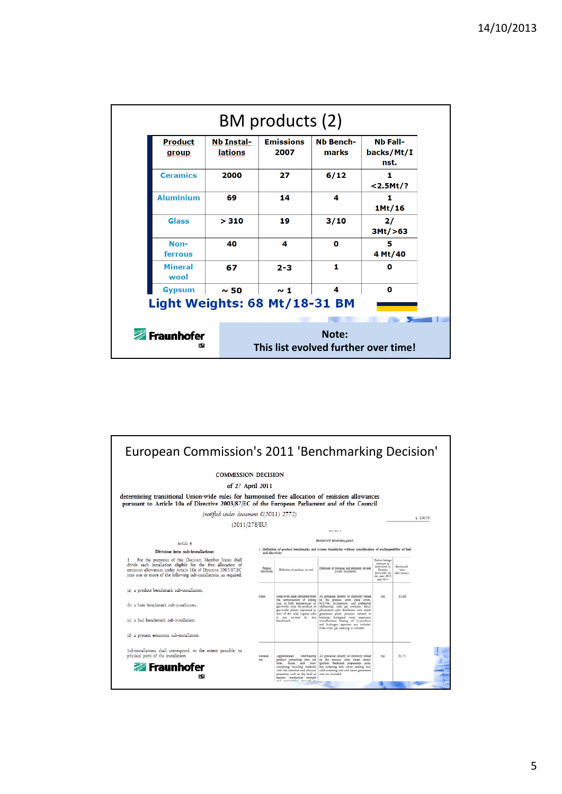| <b>Product</b><br>group | <b>Nb Instal-</b><br>lations               | <b>Emissions</b><br>2007 | Nb Bench-<br>marks | <b>Nb Fall-</b><br>backs/Mt/I<br>nst. |  |
|-------------------------|--------------------------------------------|--------------------------|--------------------|---------------------------------------|--|
| <b>Ceramics</b>         | 2000                                       | 27                       | 6/12               | 1<br>$<$ 2.5Mt/?                      |  |
| <b>Aluminium</b>        | 69                                         | 14                       | 4                  | 1<br>$1$ Mt/16                        |  |
| Glass                   | > 310                                      | 19                       | 3/10               | 2/<br>3Mt/ > 63                       |  |
| Non-<br>ferrous         | 40                                         | 4                        | $\Omega$           | 5<br>4 Mt/40                          |  |
| <b>Mineral</b><br>wool  | 67                                         | $2 - 3$                  | 1                  | $\bf{0}$                              |  |
| <b>Gypsum</b>           | $\sim$ 50<br>Light Weights: 68 Mt/18-31 BM | $\sim$ 1                 | 4                  | $\mathbf{0}$                          |  |
|                         |                                            |                          |                    |                                       |  |

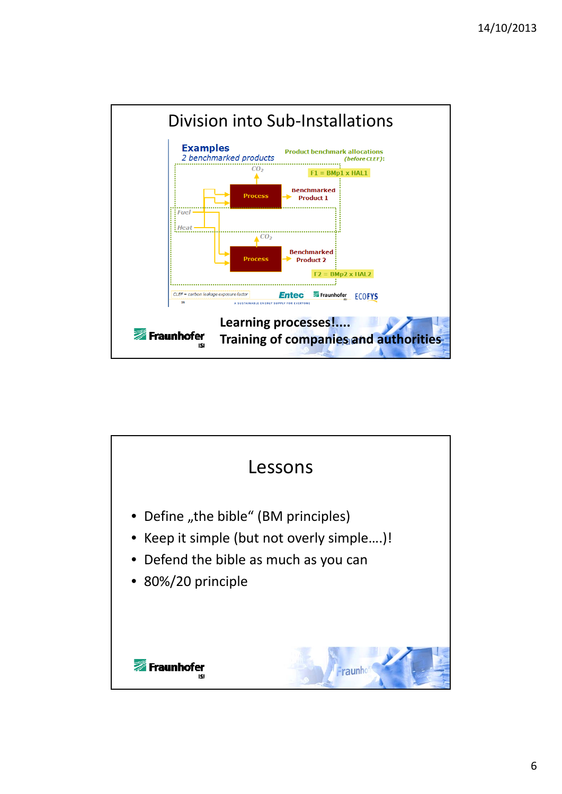